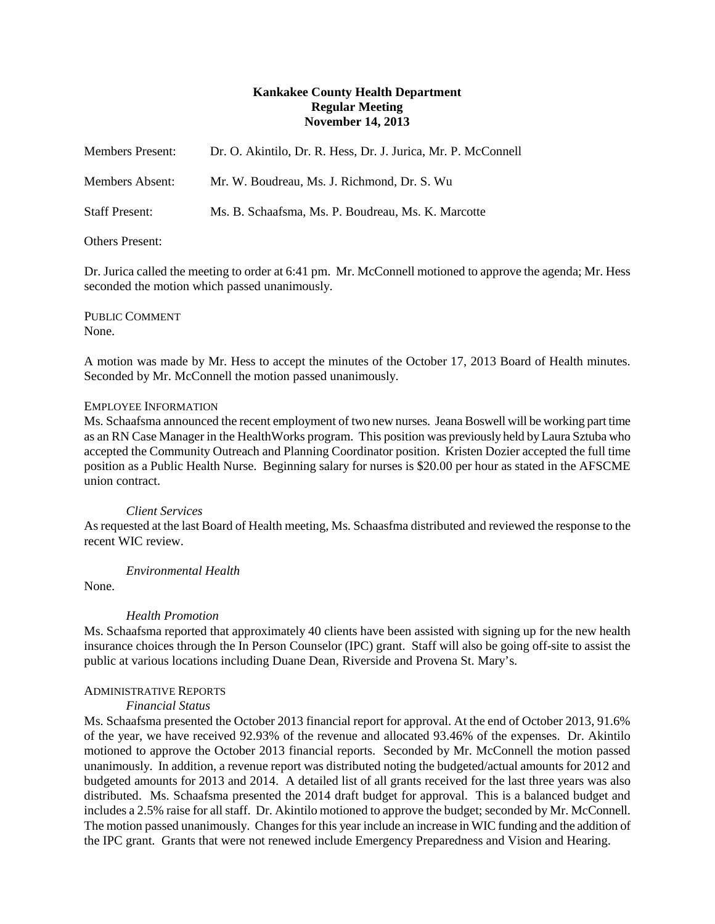# **Kankakee County Health Department Regular Meeting November 14, 2013**

| <b>Members Present:</b> | Dr. O. Akintilo, Dr. R. Hess, Dr. J. Jurica, Mr. P. McConnell |
|-------------------------|---------------------------------------------------------------|
| Members Absent:         | Mr. W. Boudreau, Ms. J. Richmond, Dr. S. Wu                   |
| <b>Staff Present:</b>   | Ms. B. Schaafsma, Ms. P. Boudreau, Ms. K. Marcotte            |

# Others Present:

Dr. Jurica called the meeting to order at 6:41 pm. Mr. McConnell motioned to approve the agenda; Mr. Hess seconded the motion which passed unanimously.

PUBLIC COMMENT None.

A motion was made by Mr. Hess to accept the minutes of the October 17, 2013 Board of Health minutes. Seconded by Mr. McConnell the motion passed unanimously.

#### EMPLOYEE INFORMATION

Ms. Schaafsma announced the recent employment of two new nurses. Jeana Boswell will be working part time as an RN Case Manager in the HealthWorks program. This position was previously held by Laura Sztuba who accepted the Community Outreach and Planning Coordinator position. Kristen Dozier accepted the full time position as a Public Health Nurse. Beginning salary for nurses is \$20.00 per hour as stated in the AFSCME union contract.

# *Client Services*

As requested at the last Board of Health meeting, Ms. Schaasfma distributed and reviewed the response to the recent WIC review.

*Environmental Health*

None.

# *Health Promotion*

Ms. Schaafsma reported that approximately 40 clients have been assisted with signing up for the new health insurance choices through the In Person Counselor (IPC) grant. Staff will also be going off-site to assist the public at various locations including Duane Dean, Riverside and Provena St. Mary's.

# ADMINISTRATIVE REPORTS

# *Financial Status*

Ms. Schaafsma presented the October 2013 financial report for approval. At the end of October 2013, 91.6% of the year, we have received 92.93% of the revenue and allocated 93.46% of the expenses. Dr. Akintilo motioned to approve the October 2013 financial reports. Seconded by Mr. McConnell the motion passed unanimously. In addition, a revenue report was distributed noting the budgeted/actual amounts for 2012 and budgeted amounts for 2013 and 2014. A detailed list of all grants received for the last three years was also distributed. Ms. Schaafsma presented the 2014 draft budget for approval. This is a balanced budget and includes a 2.5% raise for all staff. Dr. Akintilo motioned to approve the budget; seconded by Mr. McConnell. The motion passed unanimously. Changes for this year include an increase in WIC funding and the addition of the IPC grant. Grants that were not renewed include Emergency Preparedness and Vision and Hearing.